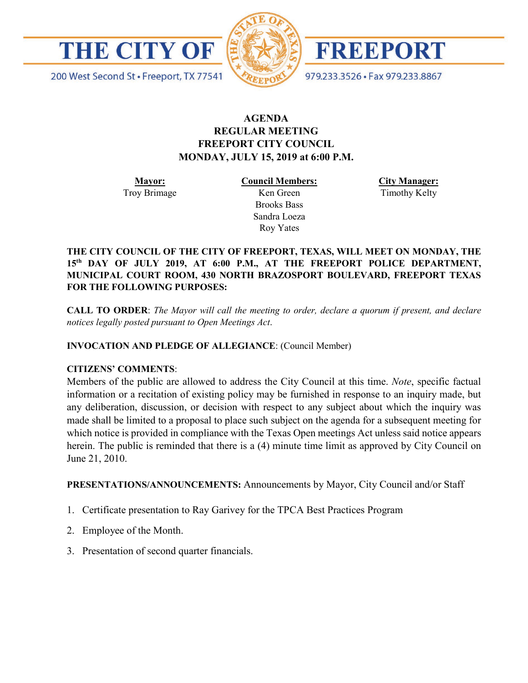



FREEPORT

979.233.3526 · Fax 979.233.8867

200 West Second St · Freeport, TX 77541

# **AGENDA REGULAR MEETING FREEPORT CITY COUNCIL MONDAY, JULY 15, 2019 at 6:00 P.M.**

**Mayor:** Troy Brimage **Council Members:** Ken Green

> Brooks Bass Sandra Loeza Roy Yates

**City Manager:**

Timothy Kelty

**THE CITY COUNCIL OF THE CITY OF FREEPORT, TEXAS, WILL MEET ON MONDAY, THE 15th DAY OF JULY 2019, AT 6:00 P.M., AT THE FREEPORT POLICE DEPARTMENT, MUNICIPAL COURT ROOM, 430 NORTH BRAZOSPORT BOULEVARD, FREEPORT TEXAS FOR THE FOLLOWING PURPOSES:**

**CALL TO ORDER**: *The Mayor will call the meeting to order, declare a quorum if present, and declare notices legally posted pursuant to Open Meetings Act*.

**INVOCATION AND PLEDGE OF ALLEGIANCE**: (Council Member)

# **CITIZENS' COMMENTS**:

Members of the public are allowed to address the City Council at this time. *Note*, specific factual information or a recitation of existing policy may be furnished in response to an inquiry made, but any deliberation, discussion, or decision with respect to any subject about which the inquiry was made shall be limited to a proposal to place such subject on the agenda for a subsequent meeting for which notice is provided in compliance with the Texas Open meetings Act unless said notice appears herein. The public is reminded that there is a (4) minute time limit as approved by City Council on June 21, 2010.

**PRESENTATIONS/ANNOUNCEMENTS:** Announcements by Mayor, City Council and/or Staff

- 1. Certificate presentation to Ray Garivey for the TPCA Best Practices Program
- 2. Employee of the Month.
- 3. Presentation of second quarter financials.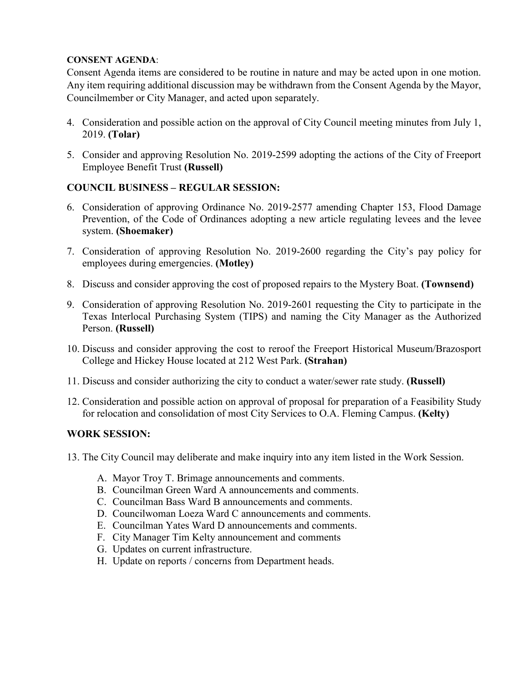### **CONSENT AGENDA**:

Consent Agenda items are considered to be routine in nature and may be acted upon in one motion. Any item requiring additional discussion may be withdrawn from the Consent Agenda by the Mayor, Councilmember or City Manager, and acted upon separately.

- 4. Consideration and possible action on the approval of City Council meeting minutes from July 1, 2019. **(Tolar)**
- 5. Consider and approving Resolution No. 2019-2599 adopting the actions of the City of Freeport Employee Benefit Trust **(Russell)**

# **COUNCIL BUSINESS – REGULAR SESSION:**

- 6. Consideration of approving Ordinance No. 2019-2577 amending Chapter 153, Flood Damage Prevention, of the Code of Ordinances adopting a new article regulating levees and the levee system. **(Shoemaker)**
- 7. Consideration of approving Resolution No. 2019-2600 regarding the City's pay policy for employees during emergencies. **(Motley)**
- 8. Discuss and consider approving the cost of proposed repairs to the Mystery Boat. **(Townsend)**
- 9. Consideration of approving Resolution No. 2019-2601 requesting the City to participate in the Texas Interlocal Purchasing System (TIPS) and naming the City Manager as the Authorized Person. **(Russell)**
- 10. Discuss and consider approving the cost to reroof the Freeport Historical Museum/Brazosport College and Hickey House located at 212 West Park. **(Strahan)**
- 11. Discuss and consider authorizing the city to conduct a water/sewer rate study. **(Russell)**
- 12. Consideration and possible action on approval of proposal for preparation of a Feasibility Study for relocation and consolidation of most City Services to O.A. Fleming Campus. **(Kelty)**

# **WORK SESSION:**

- 13. The City Council may deliberate and make inquiry into any item listed in the Work Session.
	- A. Mayor Troy T. Brimage announcements and comments.
	- B. Councilman Green Ward A announcements and comments.
	- C. Councilman Bass Ward B announcements and comments.
	- D. Councilwoman Loeza Ward C announcements and comments.
	- E. Councilman Yates Ward D announcements and comments.
	- F. City Manager Tim Kelty announcement and comments
	- G. Updates on current infrastructure.
	- H. Update on reports / concerns from Department heads.